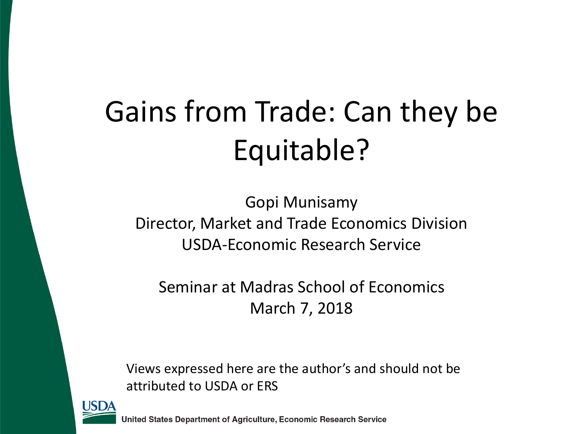# Gains from Trade: Can they be Equitable?

Gopi Munisamy Director, Market and Trade Economics Division USDA-Economic Research Service

Seminar at Madras School of Economics March 7, 2018

Views expressed here are the author's and should not be attributed to USDA or ERS

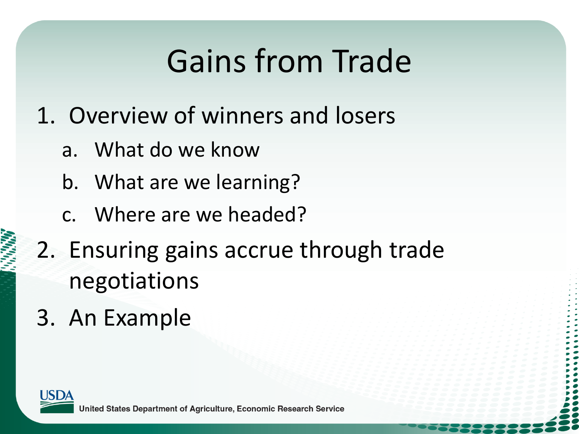# Gains from Trade

- 1. Overview of winners and losers
	- a. What do we know
	- b. What are we learning?
	- c. Where are we headed?
- 2. Ensuring gains accrue through trade negotiations
- 3. An Example

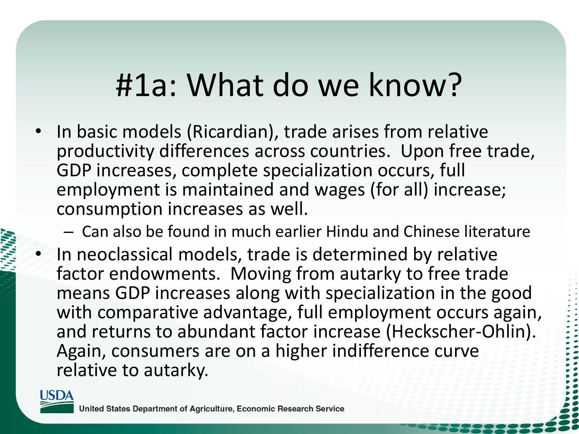### #1a: What do we know?

- In basic models (Ricardian), trade arises from relative productivity differences across countries. Upon free trade, GDP increases, complete specialization occurs, full employment is maintained and wages (for all) increase; consumption increases as well.
	- Can also be found in much earlier Hindu and Chinese literature
- In neoclassical models, trade is determined by relative factor endowments. Moving from autarky to free trade means GDP increases along with specialization in the good with comparative advantage, full employment occurs again, and returns to abundant factor increase (Heckscher-Ohlin). Again, consumers are on a higher indifference curve relative to autarky.

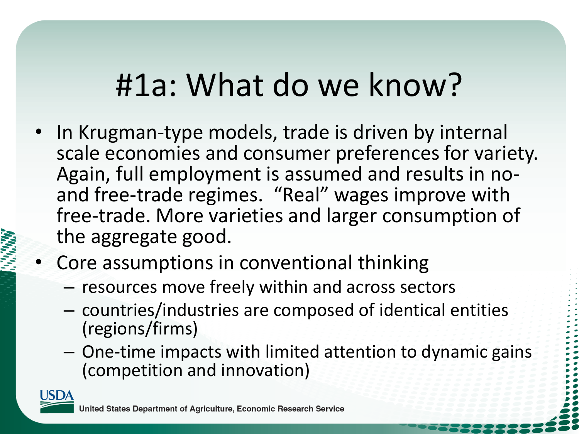### #1a: What do we know?

- In Krugman-type models, trade is driven by internal scale economies and consumer preferences for variety. Again, full employment is assumed and results in noand free-trade regimes. "Real" wages improve with free-trade. More varieties and larger consumption of the aggregate good.
- Core assumptions in conventional thinking
	- resources move freely within and across sectors
	- countries/industries are composed of identical entities (regions/firms)
	- One-time impacts with limited attention to dynamic gains (competition and innovation)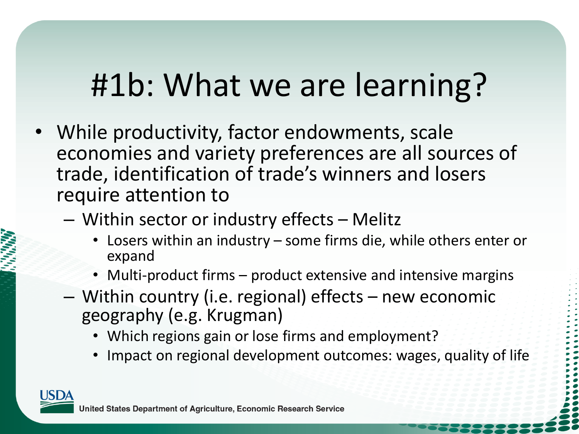## #1b: What we are learning?

- While productivity, factor endowments, scale economies and variety preferences are all sources of trade, identification of trade's winners and losers require attention to
	- Within sector or industry effects Melitz
		- Losers within an industry some firms die, while others enter or expand
		- Multi-product firms product extensive and intensive margins
	- Within country (i.e. regional) effects new economic geography (e.g. Krugman)
		- Which regions gain or lose firms and employment?
		- Impact on regional development outcomes: wages, quality of life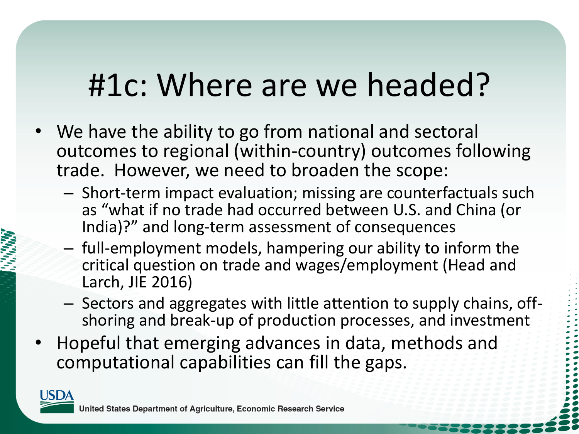### #1c: Where are we headed?

- We have the ability to go from national and sectoral outcomes to regional (within-country) outcomes following trade. However, we need to broaden the scope:
	- Short-term impact evaluation; missing are counterfactuals such as "what if no trade had occurred between U.S. and China (or India)?" and long-term assessment of consequences
	- full-employment models, hampering our ability to inform the critical question on trade and wages/employment (Head and Larch, JIE 2016)
	- Sectors and aggregates with little attention to supply chains, offshoring and break-up of production processes, and investment
- Hopeful that emerging advances in data, methods and computational capabilities can fill the gaps.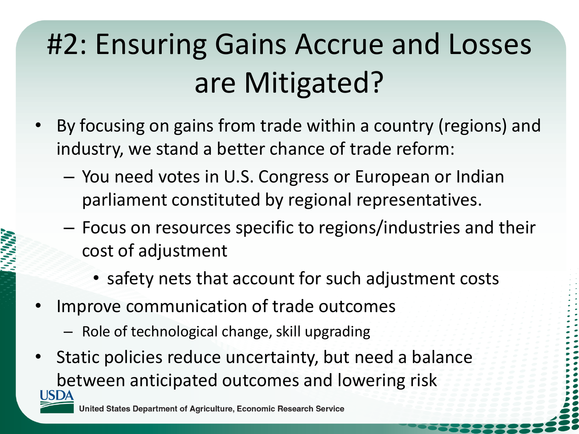## #2: Ensuring Gains Accrue and Losses are Mitigated?

- By focusing on gains from trade within a country (regions) and industry, we stand a better chance of trade reform:
	- You need votes in U.S. Congress or European or Indian parliament constituted by regional representatives.
	- Focus on resources specific to regions/industries and their cost of adjustment
		- safety nets that account for such adjustment costs
- Improve communication of trade outcomes
	- Role of technological change, skill upgrading
- Static policies reduce uncertainty, but need a balance between anticipated outcomes and lowering risk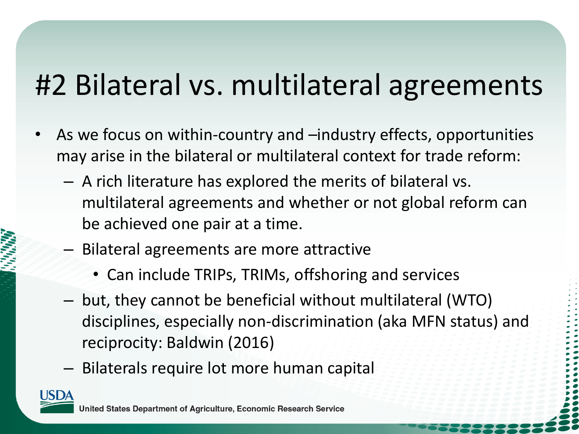### #2 Bilateral vs. multilateral agreements

- As we focus on within-country and –industry effects, opportunities may arise in the bilateral or multilateral context for trade reform:
	- A rich literature has explored the merits of bilateral vs. multilateral agreements and whether or not global reform can be achieved one pair at a time.
	- Bilateral agreements are more attractive
		- Can include TRIPs, TRIMs, offshoring and services
	- but, they cannot be beneficial without multilateral (WTO) disciplines, especially non-discrimination (aka MFN status) and reciprocity: Baldwin (2016)
	- Bilaterals require lot more human capital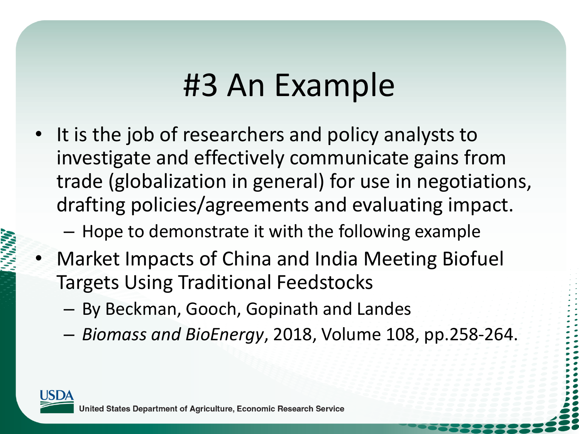### #3 An Example

• It is the job of researchers and policy analysts to investigate and effectively communicate gains from trade (globalization in general) for use in negotiations, drafting policies/agreements and evaluating impact.

– Hope to demonstrate it with the following example

- Market Impacts of China and India Meeting Biofuel Targets Using Traditional Feedstocks
	- By Beckman, Gooch, Gopinath and Landes
	- *Biomass and BioEnergy*, 2018, Volume 108, pp.258-264.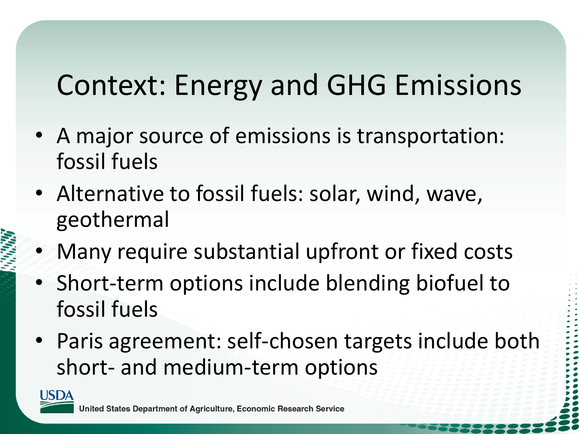### Context: Energy and GHG Emissions

- A major source of emissions is transportation: fossil fuels
- Alternative to fossil fuels: solar, wind, wave, geothermal
- Many require substantial upfront or fixed costs
- Short-term options include blending biofuel to fossil fuels
- Paris agreement: self-chosen targets include both short- and medium-term options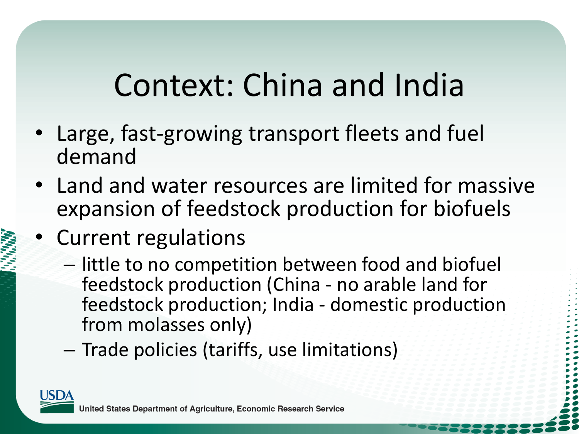# Context: China and India

- Large, fast-growing transport fleets and fuel demand
- Land and water resources are limited for massive expansion of feedstock production for biofuels
- Current regulations
	- little to no competition between food and biofuel feedstock production (China - no arable land for feedstock production; India - domestic production from molasses only)
	- Trade policies (tariffs, use limitations)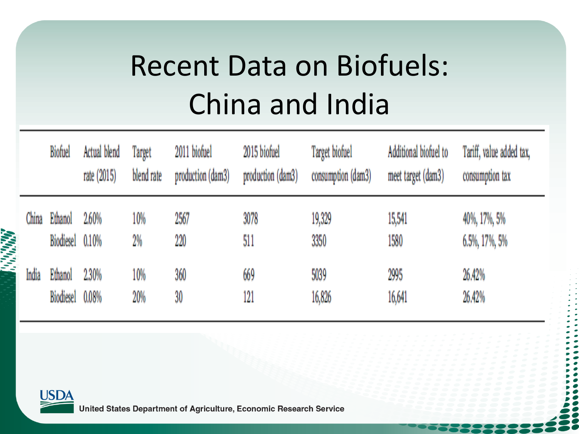# Recent Data on Biofuels: China and India

|                                      |       | <b>Biofuel</b>              | Actual blend<br>rate (2015) | Target<br>blend rate | 2011 biofuel<br>production (dam3) | 2015 biofuel<br>production (dam3) | Target biofuel<br>consumption (dam3) | Additional biofuel to<br>meet target (dam3) | Tariff, value added tax,<br>consumption tax |
|--------------------------------------|-------|-----------------------------|-----------------------------|----------------------|-----------------------------------|-----------------------------------|--------------------------------------|---------------------------------------------|---------------------------------------------|
| <b><i><u><b>Property</b></u></i></b> | China | Ethanol<br><b>Biodiesel</b> | 2.60%<br>$0.10\%$           | 10%<br>2%            | 2567<br>220                       | 3078<br>511                       | 19,329<br>3350                       | 15,541<br>1580                              | 40%, 17%, 5%<br>6.5%, 17%, 5%               |
|                                      | India | Ethanol<br><b>Biodiesel</b> | 2.30%<br>0.08%              | 10%<br>20%           | 360<br>30                         | 669<br>121                        | 5039<br>16,826                       | 2995<br>16,641                              | 26.42%<br>26.42%                            |

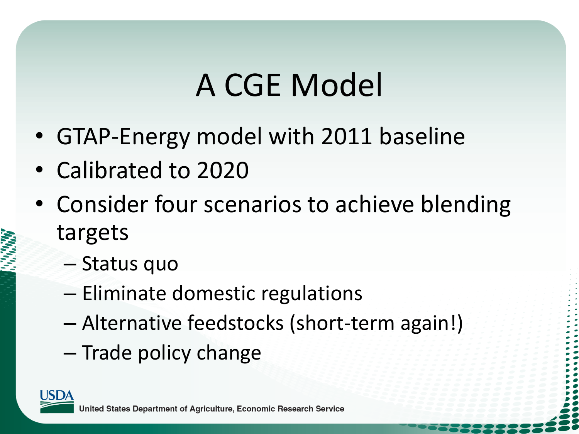# A CGE Model

- GTAP-Energy model with 2011 baseline
- Calibrated to 2020
- Consider four scenarios to achieve blending targets
	- Status quo
	- Eliminate domestic regulations
	- Alternative feedstocks (short-term again!)
	- Trade policy change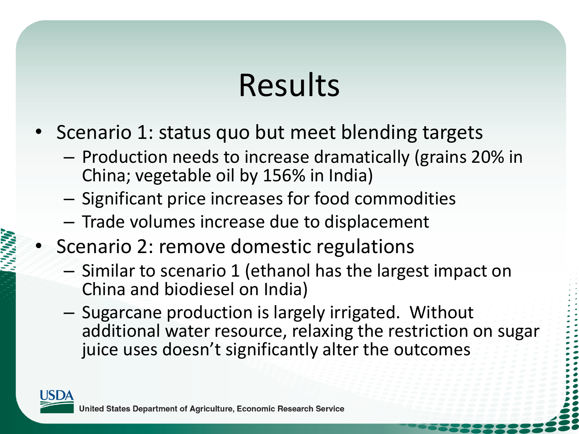# Results

- Scenario 1: status quo but meet blending targets
	- Production needs to increase dramatically (grains 20% in China; vegetable oil by 156% in India)
	- Significant price increases for food commodities
	- Trade volumes increase due to displacement
- Scenario 2: remove domestic regulations
	- Similar to scenario 1 (ethanol has the largest impact on China and biodiesel on India)
	- Sugarcane production is largely irrigated. Without additional water resource, relaxing the restriction on sugar juice uses doesn't significantly alter the outcomes

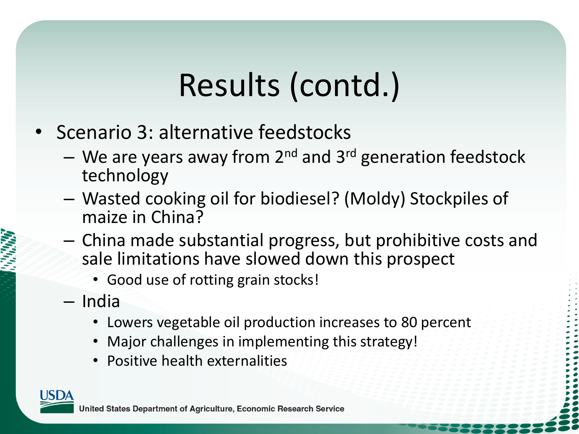# Results (contd.)

- Scenario 3: alternative feedstocks
	- We are years away from  $2^{nd}$  and  $3^{rd}$  generation feedstock technology
	- Wasted cooking oil for biodiesel? (Moldy) Stockpiles of maize in China?
	- China made substantial progress, but prohibitive costs and sale limitations have slowed down this prospect
		- Good use of rotting grain stocks!
	- India
		- Lowers vegetable oil production increases to 80 percent
		- Major challenges in implementing this strategy!
		- Positive health externalities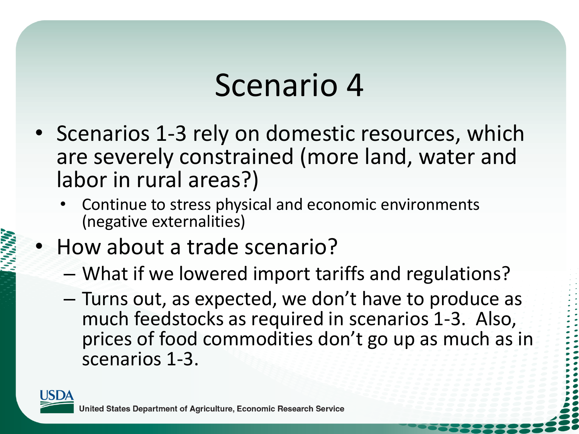### Scenario 4

- Scenarios 1-3 rely on domestic resources, which are severely constrained (more land, water and labor in rural areas?)
	- Continue to stress physical and economic environments (negative externalities)
- How about a trade scenario?
	- What if we lowered import tariffs and regulations?
	- Turns out, as expected, we don't have to produce as much feedstocks as required in scenarios 1-3. Also, prices of food commodities don't go up as much as in scenarios 1-3.

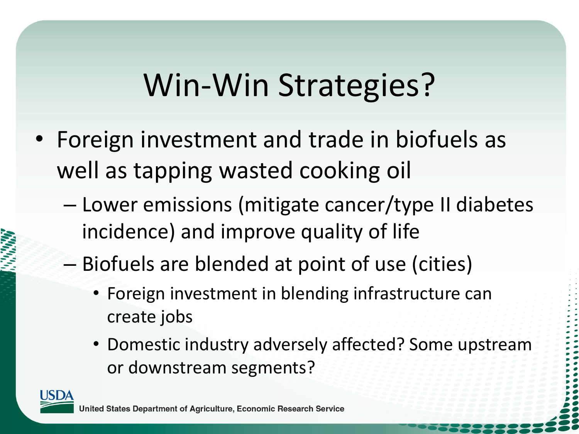# Win-Win Strategies?

- Foreign investment and trade in biofuels as well as tapping wasted cooking oil
	- Lower emissions (mitigate cancer/type II diabetes incidence) and improve quality of life
	- Biofuels are blended at point of use (cities)
		- Foreign investment in blending infrastructure can create jobs
		- Domestic industry adversely affected? Some upstream or downstream segments?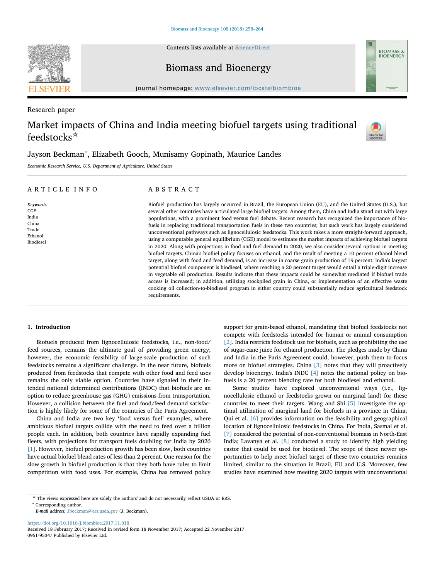Contents lists available at [ScienceDirect](http://www.sciencedirect.com/science/journal/09619534)







journal homepage: [www.elsevier.com/locate/biombioe](https://www.elsevier.com/locate/biombioe)

Research paper

### Market impacts of China and India meeting biofuel targets using traditional feedstocks☆



### Jayson Beckman<sup>[∗](#page-17-0)</sup>, Elizabeth Gooch, Munisamy Gopinath, Maurice Landes

Economic Research Service, U.S. Department of Agriculture, United States

| ARTICLE INFO                                                        | ABSTRACT                                                                                                                                                                                                                                                                                                                                                                                                                                                                                                                                                                                                                                                                                                                                                                                                                                                                                                                                                                                                                                                                                                                                                                                                                                                                                                                                                                                                                                                                                                                                                     |
|---------------------------------------------------------------------|--------------------------------------------------------------------------------------------------------------------------------------------------------------------------------------------------------------------------------------------------------------------------------------------------------------------------------------------------------------------------------------------------------------------------------------------------------------------------------------------------------------------------------------------------------------------------------------------------------------------------------------------------------------------------------------------------------------------------------------------------------------------------------------------------------------------------------------------------------------------------------------------------------------------------------------------------------------------------------------------------------------------------------------------------------------------------------------------------------------------------------------------------------------------------------------------------------------------------------------------------------------------------------------------------------------------------------------------------------------------------------------------------------------------------------------------------------------------------------------------------------------------------------------------------------------|
| Keywords:<br>CGE<br>India<br>China<br>Trade<br>Ethanol<br>Biodiesel | Biofuel production has largely occurred in Brazil, the European Union (EU), and the United States (U.S.), but<br>several other countries have articulated large biofuel targets. Among them, China and India stand out with large<br>populations, with a prominent food versus fuel debate. Recent research has recognized the importance of bio-<br>fuels in replacing traditional transportation fuels in these two countries; but such work has largely considered<br>unconventional pathways such as lignocellulosic feedstocks. This work takes a more straight-forward approach,<br>using a computable general equilibrium (CGE) model to estimate the market impacts of achieving biofuel targets<br>in 2020. Along with projections in food and fuel demand to 2020, we also consider several options in meeting<br>biofuel targets. China's biofuel policy focuses on ethanol, and the result of meeting a 10 percent ethanol blend<br>target, along with food and feed demand, is an increase in coarse grain production of 19 percent. India's largest<br>potential biofuel component is biodiesel, where reaching a 20 percent target would entail a triple-digit increase<br>in vegetable oil production. Results indicate that these impacts could be somewhat mediated if biofuel trade<br>access is increased; in addition, utilizing stockpiled grain in China, or implementation of an effective waste<br>cooking oil collection-to-biodiesel program in either country could substantially reduce agricultural feedstock<br>requirements. |

### 1. Introduction

Biofuels produced from lignocellulosic feedstocks, i.e., non-food/ feed sources, remains the ultimate goal of providing green energy; however, the economic feasibility of large-scale production of such feedstocks remains a significant challenge. In the near future, biofuels produced from feedstocks that compete with other food and feed uses remains the only viable option. Countries have signaled in their intended national determined contributions (INDC) that biofuels are an option to reduce greenhouse gas (GHG) emissions from transportation. However, a collision between the fuel and food/feed demand satisfaction is highly likely for some of the countries of the Paris Agreement.

China and India are two key 'food versus fuel' examples, where ambitious biofuel targets collide with the need to feed over a billion people each. In addition, both countries have rapidly expanding fuel fleets, with projections for transport fuels doubling for India by 2026 [\[1\].](#page-23-0) However, biofuel production growth has been slow, both countries have actual biofuel blend rates of less than 2 percent. One reason for the slow growth in biofuel production is that they both have rules to limit competition with food uses. For example, China has removed policy

support for grain-based ethanol, mandating that biofuel feedstocks not compete with feedstocks intended for human or animal consumption [\[2\].](#page-23-1) India restricts feedstock use for biofuels, such as prohibiting the use of sugar-cane juice for ethanol production. The pledges made by China and India in the Paris Agreement could, however, push them to focus more on biofuel strategies. China [\[3\]](#page-23-2) notes that they will proactively develop bioenergy. India's INDC [\[4\]](#page-23-3) notes the national policy on biofuels is a 20 percent blending rate for both biodiesel and ethanol.

Some studies have explored unconventional ways (i.e., lignocellulosic ethanol or feedstocks grown on marginal land) for these countries to meet their targets. Wang and Shi [\[5\]](#page-23-4) investigate the optimal utilization of marginal land for biofuels in a province in China; Qui et al. [\[6\]](#page-23-5) provides information on the feasibility and geographical location of lignocellulosic feedstocks in China. For India, Sasmal et al. [\[7\]](#page-23-6) considered the potential of non-conventional biomass in North-East India; Lavanya et al. [\[8\]](#page-23-7) conducted a study to identify high yielding castor that could be used for biodiesel. The scope of these newer opportunities to help meet biofuel target of these two countries remains limited, similar to the situation in Brazil, EU and U.S. Moreover, few studies have examined how meeting 2020 targets with unconventional

E-mail address: [Jbeckman@ers.usda.gov](mailto:Jbeckman@ers.usda.gov) (J. Beckman).

<https://doi.org/10.1016/j.biombioe.2017.11.018>

Received 18 February 2017; Received in revised form 18 November 2017; Accepted 22 November 2017 0961-9534/ Published by Elsevier Ltd.

<span id="page-17-0"></span> $\star$  The views expressed here are solely the authors' and do not necessarily reflect USDA or ERS.  $^{*}$  Corresponding author.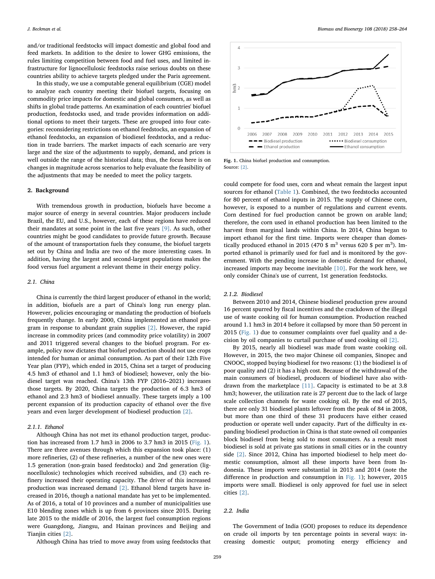and/or traditional feedstocks will impact domestic and global food and feed markets. In addition to the desire to lower GHG emissions, the rules limiting competition between food and fuel uses, and limited infrastructure for lignocellulosic feedstocks raise serious doubts on these countries ability to achieve targets pledged under the Paris agreement.

In this study, we use a computable general equilibrium (CGE) model to analyze each country meeting their biofuel targets, focusing on commodity price impacts for domestic and global consumers, as well as shifts in global trade patterns. An examination of each countries' biofuel production, feedstocks used, and trade provides information on additional options to meet their targets. These are grouped into four categories: reconsidering restrictions on ethanol feedstocks, an expansion of ethanol feedstocks, an expansion of biodiesel feedstocks, and a reduction in trade barriers. The market impacts of each scenario are very large and the size of the adjustments to supply, demand, and prices is well outside the range of the historical data; thus, the focus here is on changes in magnitude across scenarios to help evaluate the feasibility of the adjustments that may be needed to meet the policy targets.

### 2. Background

With tremendous growth in production, biofuels have become a major source of energy in several countries. Major producers include Brazil, the EU, and U.S., however, each of these regions have reduced their mandates at some point in the last five years [\[9\].](#page-23-8) As such, other countries might be good candidates to provide future growth. Because of the amount of transportation fuels they consume, the biofuel targets set out by China and India are two of the more interesting cases. In addition, having the largest and second-largest populations makes the food versus fuel argument a relevant theme in their energy policy.

### 2.1. China

China is currently the third largest producer of ethanol in the world; in addition, biofuels are a part of China's long run energy plan. However, policies encouraging or mandating the production of biofuels frequently change. In early 2000, China implemented an ethanol program in response to abundant grain supplies [\[2\]](#page-23-1). However, the rapid increase in commodity prices (and commodity price volatility) in 2007 and 2011 triggered several changes to the biofuel program. For example, policy now dictates that biofuel production should not use crops intended for human or animal consumption. As part of their 12th Five Year plan (FYP), which ended in 2015, China set a target of producing 4.5 hm3 of ethanol and 1.1 hm3 of biodiesel; however, only the biodiesel target was reached. China's 13th FYP (2016–2021) increases those targets. By 2020, China targets the production of 6.3 hm3 of ethanol and 2.3 hm3 of biodiesel annually. These targets imply a 100 percent expansion of its production capacity of ethanol over the five years and even larger development of biodiesel production [\[2\].](#page-23-1)

### <span id="page-18-1"></span>2.1.1. Ethanol

Although China has not met its ethanol production target, production has increased from 1.7 hm3 in 2006 to 3.7 hm3 in 2015 [\(Fig. 1](#page-18-0)). There are three avenues through which this expansion took place: (1) more refineries, (2) of these refineries, a number of the new ones were 1.5 generation (non-grain based feedstocks) and 2nd generation (lignocellulosic) technologies which received subsidies, and (3) each refinery increased their operating capacity. The driver of this increased production was increased demand [\[2\]](#page-23-1). Ethanol blend targets have increased in 2016, though a national mandate has yet to be implemented. As of 2016, a total of 10 provinces and a number of municipalities use E10 blending zones which is up from 6 provinces since 2015. During late 2015 to the middle of 2016, the largest fuel consumption regions were Guangdong, Jiangsu, and Hainan provinces and Beijing and Tianjin cities [\[2\].](#page-23-1)

Although China has tried to move away from using feedstocks that

<span id="page-18-0"></span>

Fig. 1. China biofuel production and consumption. Source: [\[2\].](#page-23-1)

could compete for food uses, corn and wheat remain the largest input sources for ethanol [\(Table 1\)](#page-19-0). Combined, the two feedstocks accounted for 80 percent of ethanol inputs in 2015. The supply of Chinese corn, however, is exposed to a number of regulations and current events. Corn destined for fuel production cannot be grown on arable land; therefore, the corn used in ethanol production has been limited to the harvest from marginal lands within China. In 2014, China began to import ethanol for the first time. Imports were cheaper than domestically produced ethanol in 2015 (470  $\frac{1}{3}$  m<sup>3</sup> versus 620  $\frac{1}{3}$  per m<sup>3</sup>). Imported ethanol is primarily used for fuel and is monitored by the government. With the pending increase in domestic demand for ethanol, increased imports may become inevitable [\[10\]](#page-23-9). For the work here, we only consider China's use of current, 1st generation feedstocks.

### 2.1.2. Biodiesel

Between 2010 and 2014, Chinese biodiesel production grew around 16 percent spurred by fiscal incentives and the crackdown of the illegal use of waste cooking oil for human consumption. Production reached around 1.1 hm3 in 2014 before it collapsed by more than 50 percent in 2015 [\(Fig. 1](#page-18-0)) due to consumer complaints over fuel quality and a decision by oil companies to curtail purchase of used cooking oil [\[2\]](#page-23-1).

By 2015, nearly all biodiesel was made from waste cooking oil. However, in 2015, the two major Chinese oil companies, Sinopec and CNOOC, stopped buying biodiesel for two reasons: (1) the biodiesel is of poor quality and (2) it has a high cost. Because of the withdrawal of the main consumers of biodiesel, producers of biodiesel have also withdrawn from the marketplace [\[11\]](#page-23-10). Capacity is estimated to be at 3.8 hm3; however, the utilization rate is 27 percent due to the lack of large scale collection channels for waste cooking oil. By the end of 2015, there are only 31 biodiesel plants leftover from the peak of 84 in 2008, but more than one third of these 31 producers have either ceased production or operate well under capacity. Part of the difficulty in expanding biodiesel production in China is that state owned oil companies block biodiesel from being sold to most consumers. As a result most biodiesel is sold at private gas stations in small cities or in the country side [\[2\]](#page-23-1). Since 2012, China has imported biodiesel to help meet domestic consumption, almost all these imports have been from Indonesia. These imports were substantial in 2013 and 2014 (note the difference in production and consumption in [Fig. 1\)](#page-18-0); however, 2015 imports were small. Biodiesel is only approved for fuel use in select cities [\[2\].](#page-23-1)

### 2.2. India

The Government of India (GOI) proposes to reduce its dependence on crude oil imports by ten percentage points in several ways: increasing domestic output; promoting energy efficiency and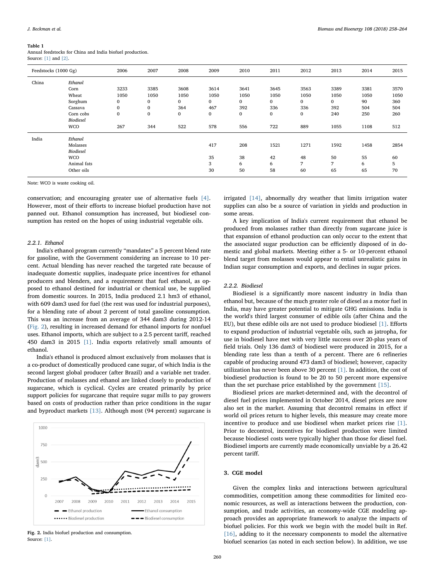### <span id="page-19-0"></span>Table 1

Annual feedstocks for China and India biofuel production. Source: [\[1\]](#page-23-0) and [\[2\]](#page-23-1).

| Feedstocks (1000 Gg) |             | 2006         | 2007         | 2008         | 2009 | 2010         | 2011         | 2012         | 2013         | 2014 | 2015 |
|----------------------|-------------|--------------|--------------|--------------|------|--------------|--------------|--------------|--------------|------|------|
| China                | Ethanol     |              |              |              |      |              |              |              |              |      |      |
|                      | Corn        | 3233         | 3385         | 3608         | 3614 | 3641         | 3645         | 3563         | 3389         | 3381 | 3570 |
|                      | Wheat       | 1050         | 1050         | 1050         | 1050 | 1050         | 1050         | 1050         | 1050         | 1050 | 1050 |
|                      | Sorghum     | $\mathbf{0}$ | $\mathbf{0}$ | $\mathbf{0}$ | 0    | $\mathbf{0}$ | $\mathbf{0}$ | $\mathbf{0}$ | $\mathbf{0}$ | 90   | 360  |
|                      | Cassava     | $\mathbf{0}$ | $\mathbf{0}$ | 364          | 467  | 392          | 336          | 336          | 392          | 504  | 504  |
|                      | Corn cobs   | 0            | $\bf{0}$     | $\bf{0}$     | 0    | 0            | $\bf{0}$     | $\bf{0}$     | 240          | 250  | 260  |
|                      | Biodiesel   |              |              |              |      |              |              |              |              |      |      |
|                      | <b>WCO</b>  | 267          | 344          | 522          | 578  | 556          | 722          | 889          | 1055         | 1108 | 512  |
| India                | Ethanol     |              |              |              |      |              |              |              |              |      |      |
|                      | Molasses    |              |              |              | 417  | 208          | 1521         | 1271         | 1592         | 1458 | 2854 |
|                      | Biodiesel   |              |              |              |      |              |              |              |              |      |      |
|                      | <b>WCO</b>  |              |              |              | 35   | 38           | 42           | 48           | 50           | 55   | 60   |
|                      | Animal fats |              |              |              | 3    | 6            | 6            | 7            | 7            | 6    | 5    |
|                      | Other oils  |              |              |              | 30   | 50           | 58           | 60           | 65           | 65   | 70   |
|                      |             |              |              |              |      |              |              |              |              |      |      |

Note: WCO is waste cooking oil.

conservation; and encouraging greater use of alternative fuels [\[4\]](#page-23-3). However, most of their efforts to increase biofuel production have not panned out. Ethanol consumption has increased, but biodiesel consumption has rested on the hopes of using industrial vegetable oils.

### 2.2.1. Ethanol

India's ethanol program currently "mandates" a 5 percent blend rate for gasoline, with the Government considering an increase to 10 percent. Actual blending has never reached the targeted rate because of inadequate domestic supplies, inadequate price incentives for ethanol producers and blenders, and a requirement that fuel ethanol, as opposed to ethanol destined for industrial or chemical use, be supplied from domestic sources. In 2015, India produced 2.1 hm3 of ethanol, with 609 dam3 used for fuel (the rest was used for industrial purposes), for a blending rate of about 2 percent of total gasoline consumption. This was an increase from an average of 344 dam3 during 2012-14 ([Fig. 2\)](#page-19-1), resulting in increased demand for ethanol imports for nonfuel uses. Ethanol imports, which are subject to a 2.5 percent tariff, reached 450 dam3 in 2015 [\[1\].](#page-23-0) India exports relatively small amounts of ethanol.

India's ethanol is produced almost exclusively from molasses that is a co-product of domestically produced cane sugar, of which India is the second largest global producer (after Brazil) and a variable net trader. Production of molasses and ethanol are linked closely to production of sugarcane, which is cyclical. Cycles are created primarily by price support policies for sugarcane that require sugar mills to pay growers based on costs of production rather than price conditions in the sugar and byproduct markets [\[13\].](#page-23-11) Although most (94 percent) sugarcane is

<span id="page-19-1"></span> $1000$  $750$  $\frac{2}{10}$  500 250  $\Omega$ 2007 2008 2009  $2010$  $2011$  $2012$  $2013$  $2014$  $2015$ - Ethanol production Ethanol consumption ...... Biodiesel production  $\bullet$   $\bullet$  Biodiesel consumption

Fig. 2. India biofuel production and consumption. Source: [\[1\].](#page-23-0)

irrigated [\[14\]](#page-23-12), abnormally dry weather that limits irrigation water supplies can also be a source of variation in yields and production in some areas.

A key implication of India's current requirement that ethanol be produced from molasses rather than directly from sugarcane juice is that expansion of ethanol production can only occur to the extent that the associated sugar production can be efficiently disposed of in domestic and global markets. Meeting either a 5- or 10-percent ethanol blend target from molasses would appear to entail unrealistic gains in Indian sugar consumption and exports, and declines in sugar prices.

### 2.2.2. Biodiesel

Biodiesel is a significantly more nascent industry in India than ethanol but, because of the much greater role of diesel as a motor fuel in India, may have greater potential to mitigate GHG emissions. India is the world's third largest consumer of edible oils (after China and the EU), but these edible oils are not used to produce biodiesel [\[1\].](#page-23-0) Efforts to expand production of industrial vegetable oils, such as jatropha, for use in biodiesel have met with very little success over 20-plus years of field trials. Only 136 dam3 of biodiesel were produced in 2015, for a blending rate less than a tenth of a percent. There are 6 refineries capable of producing around 473 dam3 of biodiesel; however, capacity utilization has never been above 30 percent [\[1\].](#page-23-0) In addition, the cost of biodiesel production is found to be 20 to 50 percent more expensive than the set purchase price established by the government [\[15\]](#page-23-13).

Biodiesel prices are market-determined and, with the decontrol of diesel fuel prices implemented in October 2014, diesel prices are now also set in the market. Assuming that decontrol remains in effect if world oil prices return to higher levels, this measure may create more incentive to produce and use biodiesel when market prices rise [\[1\]](#page-23-0). Prior to decontrol, incentives for biodiesel production were limited because biodiesel costs were typically higher than those for diesel fuel. Biodiesel imports are currently made economically unviable by a 26.42 percent tariff.

### 3. CGE model

Given the complex links and interactions between agricultural commodities, competition among these commodities for limited economic resources, as well as interactions between the production, consumption, and trade activities, an economy-wide CGE modeling approach provides an appropriate framework to analyze the impacts of biofuel policies. For this work we begin with the model built in Ref. [\[16\]](#page-23-14), adding to it the necessary components to model the alternative biofuel scenarios (as noted in each section below). In addition, we use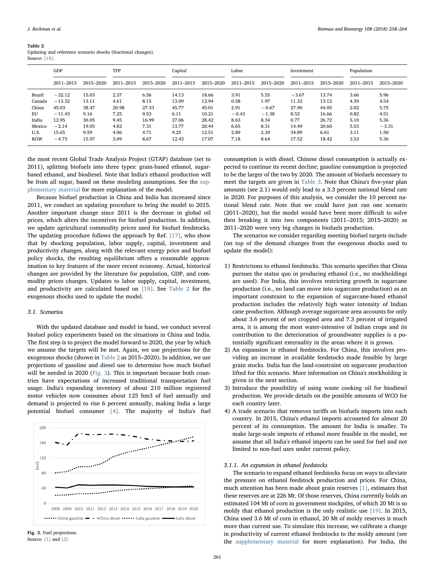<span id="page-20-0"></span>

| Updating and reference scenario shocks (fractional changes). |  |  |  |
|--------------------------------------------------------------|--|--|--|
| Source: [18].                                                |  |  |  |

|            | GDP       |           | TFP       |           | Capital   |           |           | Labor     |           | Investment |           | Population |  |
|------------|-----------|-----------|-----------|-----------|-----------|-----------|-----------|-----------|-----------|------------|-----------|------------|--|
|            | 2011-2015 | 2015-2020 | 2011-2015 | 2015-2020 | 2011-2015 | 2015-2020 | 2011-2015 | 2015-2020 | 2011-2015 | 2015-2020  | 2011-2015 | 2015-2020  |  |
| Brazil     | $-32.12$  | 15.03     | 2.37      | 6.56      | 14.13     | 18.66     | 3.91      | 5.55      | $-3.67$   | 13.74      | 3.66      | 5.96       |  |
| Canada     | $-13.32$  | 13.11     | 4.61      | 8.15      | 13.09     | 13.94     | 0.58      | 1.97      | 11.32     | 13.12      | 4.39      | 4.54       |  |
| China      | 45.03     | 38.47     | 20.98     | 27.33     | 45.77     | 45.01     | 2.91      | $-0.67$   | 27.90     | 44.05      | 2.02      | 5.75       |  |
| EU         | $-11.43$  | 9.16      | 7.25      | 9.53      | 6.11      | 10.21     | $-0.43$   | $-1.38$   | 8.52      | 16.66      | 0.82      | 4.51       |  |
| India      | 12.95     | 30.05     | 9.45      | 16.99     | 27.06     | 28.42     | 8.63      | 8.34      | 0.77      | 26.72      | 5.10      | 5.36       |  |
| Mexico     | $-2.14$   | 19.05     | 4.82      | 7.31      | 13.77     | 20.44     | 6.65      | 8.31      | 14.49     | 20.60      | 5.53      | $-3.31$    |  |
| U.S.       | 15.65     | 9.59      | 4.06      | 4.71      | 9.25      | 12.51     | 2.89      | 2.30      | 34.89     | 6.61       | 3.11      | 1.50       |  |
| <b>ROW</b> | $-4.73$   | 15.97     | 3.09      | 8.67      | 12.43     | 17.07     | 7.18      | 8.64      | 17.52     | 18.42      | 3.53      | 5.36       |  |

the most recent Global Trade Analysis Project (GTAP) database (set to 2011), splitting biofuels into three types: grain-based ethanol, sugarbased ethanol, and biodiesel. Note that India's ethanol production will be from all sugar, based on these modeling assumptions. See the supplementary material for more explanation of the model.

Because biofuel production in China and India has increased since 2011, we conduct an updating procedure to bring the model to 2015. Another important change since 2011 is the decrease in global oil prices, which alters the incentives for biofuel production. In addition, we update agricultural commodity prices used for biofuel feedstocks. The updating procedure follows the approach by Ref. [\[17\]](#page-23-15), who show that by shocking population, labor supply, capital, investment and productivity changes, along with the relevant energy price and biofuel policy shocks, the resulting equilibrium offers a reasonable approximation to key features of the more recent economy. Actual, historical changes are provided by the literature for population, GDP, and commodity prices changes. Updates to labor supply, capital, investment, and productivity are calculated based on [\[18\]](#page-23-16). See [Table 2](#page-20-0) for the exogenous shocks used to update the model.

### 3.1. Scenarios

With the updated database and model in hand, we conduct several biofuel policy experiments based on the situations in China and India. The first step is to project the model forward to 2020, the year by which we assume the targets will be met. Again, we use projections for the exogenous shocks (shown in [Table 2](#page-20-0) as 2015–2020). In addition, we use projections of gasoline and diesel use to determine how much biofuel will be needed in 2020 ([Fig. 3](#page-20-1)). This is important because both countries have expectations of increased traditional transportation fuel usage. India's expanding inventory of about 210 million registered motor vehicles now consumes about 125 hm3 of fuel annually and demand is projected to rise 6 percent annually, making India a large potential biofuel consumer [\[4\].](#page-23-3) The majority of India's fuel

<span id="page-20-1"></span>



consumption is with diesel. Chinese diesel consumption is actually expected to continue its recent decline; gasoline consumption is projected to be the larger of the two by 2020. The amount of biofuels necessary to meet the targets are given in [Table 3](#page-21-0). Note that China's five-year plan amounts (see 2.1) would only lead to a 3.3 percent national blend rate in 2020. For purposes of this analysis, we consider the 10 percent national blend rate. Note that we could have just ran one scenario (2011–2020), but the model would have been more difficult to solve then breaking it into two components (2011–2015; 2015–2020) as 2011–2020 were very big changes in biofuels production.

The scenarios we consider regarding meeting biofuel targets include (on top of the demand changes from the exogenous shocks used to update the model):

- 1) Restrictions to ethanol feedstocks. This scenario specifies that China pursues the status quo in producing ethanol (i.e., no stockholdings are used). For India, this involves restricting growth in sugarcane production (i.e., no land can move into sugarcane production) as an important constraint to the expansion of sugarcane-based ethanol production includes the relatively high water intensity of Indian cane production. Although average sugarcane area accounts for only about 3.6 percent of net cropped area and 7.3 percent of irrigated area, it is among the most water-intensive of Indian crops and its contribution to the deterioration of groundwater supplies is a potentially significant externality in the areas where it is grown.
- 2) An expansion in ethanol feedstocks. For China, this involves providing an increase in available feedstocks made feasible by large grain stocks. India has the land-constraint on sugarcane production lifted for this scenario. More information on China's stockholding is given in the next section.
- 3) Introduce the possibility of using waste cooking oil for biodiesel production. We provide details on the possible amounts of WCO for each country later.
- 4) A trade scenario that removes tariffs on biofuels imports into each country. In 2015, China's ethanol imports accounted for almost 20 percent of its consumption. The amount for India is smaller. To make large-scale imports of ethanol more feasible in the model, we assume that all India's ethanol imports can be used for fuel and not limited to non-fuel uses under current policy.

### 3.1.1. An expansion in ethanol feedstocks

The scenario to expand ethanol feedstocks focus on ways to alleviate the pressure on ethanol feedstock production and prices. For China, much attention has been made about grain reserves [\[1\],](#page-23-0) estimates that these reserves are at 226 Mt. Of those reserves, China currently holds an estimated 104 Mt of corn in government stockpiles, of which 20 Mt is so moldy that ethanol production is the only realistic use [\[19\]](#page-23-17). In 2015, China used 3.6 Mt of corn in ethanol, 20 Mt of moldy reserves is much more than current use. To simulate this increase, we calibrate a change in productivity of current ethanol feedstocks to the moldy amount (see the supplementary material for more explanation). For India, the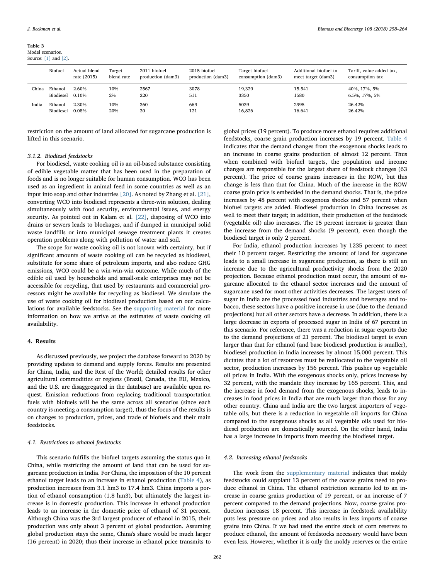<span id="page-21-0"></span>Table 3 Model scenarios.

| Model scenarios.     |  |
|----------------------|--|
| Source: [1] and [2]. |  |

|       | Biofuel   | Actual blend<br>rate (2015) | Target<br>blend rate | 2011 biofuel<br>production (dam3) | 2015 biofuel<br>production (dam3) | Target biofuel<br>consumption (dam3) | Additional biofuel to<br>meet target (dam3) | Tariff, value added tax,<br>consumption tax |
|-------|-----------|-----------------------------|----------------------|-----------------------------------|-----------------------------------|--------------------------------------|---------------------------------------------|---------------------------------------------|
| China | Ethanol   | 2.60%                       | 10%                  | 2567                              | 3078                              | 19.329                               | 15.541                                      | 40%, 17%, 5%                                |
|       | Biodiesel | 0.10%                       | 2%                   | 220                               | 511                               | 3350                                 | 1580                                        | 6.5%, 17%, 5%                               |
| India | Ethanol   | 2.30%                       | 10%                  | 360                               | 669                               | 5039                                 | 2995                                        | 26.42%                                      |
|       | Biodiesel | 0.08%                       | 20%                  | 30                                | 121                               | 16,826                               | 16,641                                      | 26.42%                                      |

restriction on the amount of land allocated for sugarcane production is lifted in this scenario.

### 3.1.2. Biodiesel feedstocks

For biodiesel, waste cooking oil is an oil-based substance consisting of edible vegetable matter that has been used in the preparation of foods and is no longer suitable for human consumption. WCO has been used as an ingredient in animal feed in some countries as well as an input into soap and other industries [\[20\]](#page-23-18). As noted by Zhang et al. [\[21\]](#page-23-19), converting WCO into biodiesel represents a three-win solution, dealing simultaneously with food security, environmental issues, and energy security. As pointed out in Kalam et al. [\[22\]](#page-23-20), disposing of WCO into drains or sewers leads to blockages, and if dumped in municipal solid waste landfills or into municipal sewage treatment plants it creates operation problems along with pollution of water and soil.

The scope for waste cooking oil is not known with certainty, but if significant amounts of waste cooking oil can be recycled as biodiesel, substitute for some share of petroleum imports, and also reduce GHG emissions, WCO could be a win-win-win outcome. While much of the edible oil used by households and small-scale enterprises may not be accessible for recycling, that used by restaurants and commercial processors might be available for recycling as biodiesel. We simulate the use of waste cooking oil for biodiesel production based on our calculations for available feedstocks. See the supporting material for more information on how we arrive at the estimates of waste cooking oil availability.

### 4. Results

As discussed previously, we project the database forward to 2020 by providing updates to demand and supply forces. Results are presented for China, India, and the Rest of the World; detailed results for other agricultural commodities or regions (Brazil, Canada, the EU, Mexico, and the U.S. are disaggregated in the database) are available upon request. Emission reductions from replacing traditional transportation fuels with biofuels will be the same across all scenarios (since each country is meeting a consumption target), thus the focus of the results is on changes to production, prices, and trade of biofuels and their main feedstocks.

### 4.1. Restrictions to ethanol feedstocks

This scenario fulfills the biofuel targets assuming the status quo in China, while restricting the amount of land that can be used for sugarcane production in India. For China, the imposition of the 10 percent ethanol target leads to an increase in ethanol production ([Table 4](#page-22-0)), as production increases from 3.1 hm3 to 17.4 hm3. China imports a portion of ethanol consumption (1.8 hm3), but ultimately the largest increase is in domestic production. This increase in ethanol production leads to an increase in the domestic price of ethanol of 31 percent. Although China was the 3rd largest producer of ethanol in 2015, their production was only about 3 percent of global production. Assuming global production stays the same, China's share would be much larger (16 percent) in 2020; thus their increase in ethanol price transmits to

global prices (19 percent). To produce more ethanol requires additional feedstocks, coarse grain production increases by 19 percent. [Table 4](#page-22-0) indicates that the demand changes from the exogenous shocks leads to an increase in coarse grains production of almost 12 percent. Thus when combined with biofuel targets, the population and income changes are responsible for the largest share of feedstock changes (63 percent). The price of coarse grains increases in the ROW, but this change is less than that for China. Much of the increase in the ROW coarse grain price is embedded in the demand shocks. That is, the price increases by 48 percent with exogenous shocks and 57 percent when biofuel targets are added. Biodiesel production in China increases as well to meet their target; in addition, their production of the feedstock (vegetable oil) also increases. The 15 percent increase is greater than the increase from the demand shocks (9 percent), even though the biodiesel target is only 2 percent.

For India, ethanol production increases by 1235 percent to meet their 10 percent target. Restricting the amount of land for sugarcane leads to a small increase in sugarcane production, as there is still an increase due to the agricultural productivity shocks from the 2020 projection. Because ethanol production must occur, the amount of sugarcane allocated to the ethanol sector increases and the amount of sugarcane used for most other activities decreases. The largest users of sugar in India are the processed food industries and beverages and tobacco, these sectors have a positive increase in use (due to the demand projections) but all other sectors have a decrease. In addition, there is a large decrease in exports of processed sugar in India of 67 percent in this scenario. For reference, there was a reduction in sugar exports due to the demand projections of 21 percent. The biodiesel target is even larger than that for ethanol (and base biodiesel production is smaller), biodiesel production in India increases by almost 15,000 percent. This dictates that a lot of resources must be reallocated to the vegetable oil sector, production increases by 156 percent. This pushes up vegetable oil prices in India. With the exogenous shocks only, prices increase by 32 percent, with the mandate they increase by 165 percent. This, and the increase in food demand from the exogenous shocks, leads to increases in food prices in India that are much larger than those for any other country. China and India are the two largest importers of vegetable oils, but there is a reduction in vegetable oil imports for China compared to the exogenous shocks as all vegetable oils used for biodiesel production are domestically sourced. On the other hand, India has a large increase in imports from meeting the biodiesel target.

### 4.2. Increasing ethanol feedstocks

The work from the supplementary material indicates that moldy feedstocks could supplant 13 percent of the coarse grains need to produce ethanol in China. The ethanol restriction scenario led to an increase in coarse grains production of 19 percent, or an increase of 7 percent compared to the demand projections. Now, coarse grains production increases 18 percent. This increase in feedstock availability puts less pressure on prices and also results in less imports of coarse grains into China. If we had used the entire stock of corn reserves to produce ethanol, the amount of feedstocks necessary would have been even less. However, whether it is only the moldy reserves or the entire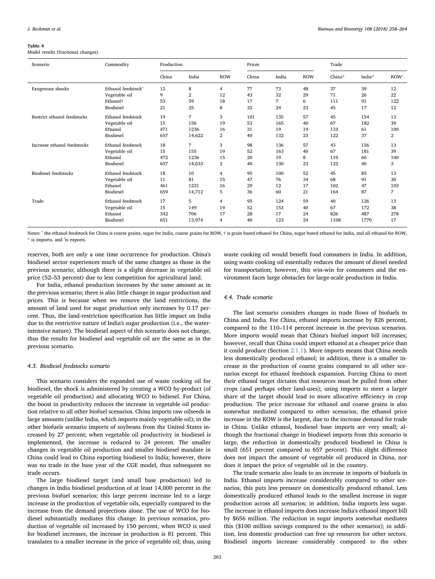### <span id="page-22-0"></span>Table 4

Model results (fractional changes).

| Scenario                    | Commodity                                                                                                                                                                                                                                                                                                                                                                                                                                                                                                                         | Production |                                                                                                                                                                                                                                                           |            | Prices |                |            | Trade  |        |      |
|-----------------------------|-----------------------------------------------------------------------------------------------------------------------------------------------------------------------------------------------------------------------------------------------------------------------------------------------------------------------------------------------------------------------------------------------------------------------------------------------------------------------------------------------------------------------------------|------------|-----------------------------------------------------------------------------------------------------------------------------------------------------------------------------------------------------------------------------------------------------------|------------|--------|----------------|------------|--------|--------|------|
|                             |                                                                                                                                                                                                                                                                                                                                                                                                                                                                                                                                   | China      | India                                                                                                                                                                                                                                                     | <b>ROW</b> | China  | India          | <b>ROW</b> | China* | India* | ROW' |
| Exogenous shocks            | Ethanol feedstock <sup>^</sup>                                                                                                                                                                                                                                                                                                                                                                                                                                                                                                    | 12         | 8                                                                                                                                                                                                                                                         | 4          | 77     | 73             | 48         | 37     | 39     | 12   |
|                             | Vegetable oil                                                                                                                                                                                                                                                                                                                                                                                                                                                                                                                     | 9          | $\overline{2}$                                                                                                                                                                                                                                            | 12         | 43     | 32             | 29         | 71     | 26     | 22   |
|                             | Ethanol <sup>+</sup>                                                                                                                                                                                                                                                                                                                                                                                                                                                                                                              | 53         | 59                                                                                                                                                                                                                                                        | 18         | 17     | 7              | 6          | 111    | 91     | 122  |
|                             | Biodiesel                                                                                                                                                                                                                                                                                                                                                                                                                                                                                                                         | 21         | 25                                                                                                                                                                                                                                                        | 8          | 32     | 24             | 23         | 45     | 17     | 12   |
| Restrict ethanol feedstocks | Ethanol feedstock                                                                                                                                                                                                                                                                                                                                                                                                                                                                                                                 | 19         | 7                                                                                                                                                                                                                                                         | 3          | 101    | 135            | 57         | 45     | 154    | 13   |
|                             | Vegetable oil                                                                                                                                                                                                                                                                                                                                                                                                                                                                                                                     | 15         | 156                                                                                                                                                                                                                                                       | 19         | 53     | 165            | 40         | 67     | 182    | 39   |
|                             | Ethanol                                                                                                                                                                                                                                                                                                                                                                                                                                                                                                                           | 471        | 1236                                                                                                                                                                                                                                                      | 16         | 31     | 19             | 19         | 110    | 61     | 100  |
|                             | Biodiesel<br>657<br>14,622<br>$\overline{2}$<br>40<br>3<br>98<br>Ethanol feedstock<br>18<br>7<br>Vegetable oil<br>52<br>15<br>19<br>155<br>472<br>20<br>Ethanol<br>1236<br>15<br>$\overline{2}$<br>Biodiesel<br>657<br>14,633<br>40<br>18<br>95<br>Ethanol feedstock<br>10<br>4<br>Vegetable oil<br>11<br>81<br>15<br>47<br>Ethanol<br>461<br>1231<br>29<br>16<br>Biodiesel<br>659<br>14,712<br>36<br>5<br>Ethanol feedstock<br>95<br>17<br>5<br>4<br>15<br>149<br>19<br>52<br>Vegetable oil<br>Ethanol<br>706<br>17<br>28<br>342 | 132        | 23                                                                                                                                                                                                                                                        | 122        | 37     | $\overline{2}$ |            |        |        |      |
| Increase ethanol feedstocks |                                                                                                                                                                                                                                                                                                                                                                                                                                                                                                                                   |            |                                                                                                                                                                                                                                                           |            |        | 136            | 57         | 43     | 156    | 13   |
|                             |                                                                                                                                                                                                                                                                                                                                                                                                                                                                                                                                   |            |                                                                                                                                                                                                                                                           |            |        | 163            | 40         | 67     | 181    | 39   |
|                             |                                                                                                                                                                                                                                                                                                                                                                                                                                                                                                                                   |            |                                                                                                                                                                                                                                                           |            |        | 19             | 8          | 110    | 60     | 100  |
|                             |                                                                                                                                                                                                                                                                                                                                                                                                                                                                                                                                   |            | 130<br>23<br>122<br>40<br>52<br>100<br>45<br>85<br>76<br>34<br>68<br>91<br>17<br>102<br>47<br>12<br>87<br>60<br>21<br>164<br>124<br>59<br>40<br>126<br>153<br>67<br>172<br>40<br>17<br>24<br>826<br>487<br>123<br>24<br>40<br>1108<br>13,974<br>4<br>1770 | 3          |        |                |            |        |        |      |
| <b>Biodiesel feedstocks</b> |                                                                                                                                                                                                                                                                                                                                                                                                                                                                                                                                   |            |                                                                                                                                                                                                                                                           |            |        |                |            |        |        | 13   |
|                             |                                                                                                                                                                                                                                                                                                                                                                                                                                                                                                                                   |            |                                                                                                                                                                                                                                                           |            |        |                |            |        |        | 30   |
|                             |                                                                                                                                                                                                                                                                                                                                                                                                                                                                                                                                   |            |                                                                                                                                                                                                                                                           |            |        |                |            |        |        | 103  |
|                             |                                                                                                                                                                                                                                                                                                                                                                                                                                                                                                                                   |            | 7                                                                                                                                                                                                                                                         |            |        |                |            |        |        |      |
| Trade                       |                                                                                                                                                                                                                                                                                                                                                                                                                                                                                                                                   |            |                                                                                                                                                                                                                                                           |            |        |                |            |        |        | 13   |
|                             |                                                                                                                                                                                                                                                                                                                                                                                                                                                                                                                                   |            |                                                                                                                                                                                                                                                           |            |        |                |            |        |        | 38   |
|                             |                                                                                                                                                                                                                                                                                                                                                                                                                                                                                                                                   |            |                                                                                                                                                                                                                                                           |            |        |                |            |        |        | 278  |
|                             | Biodiesel                                                                                                                                                                                                                                                                                                                                                                                                                                                                                                                         | 651        |                                                                                                                                                                                                                                                           |            |        |                |            |        |        | 17   |

Notes: ^ the ethanol feedstock for China is coarse grains, sugar for India, coarse grains for ROW,  $\dagger$  is grain based ethanol for China, sugar based ethanol for India, and all ethanol for ROW, \* is imports, and 'is exports.

reserves, both are only a one time occurrence for production. China's biodiesel sector experiences much of the same changes as those in the previous scenario; although there is a slight decrease in vegetable oil price (52–53 percent) due to less competition for agricultural land.

For India, ethanol production increases by the same amount as in the previous scenario; there is also little change in sugar production and prices. This is because when we remove the land restrictions, the amount of land used for sugar production only increases by 0.17 percent. Thus, the land-restriction specification has little impact on India due to the restrictive nature of India's sugar production (i.e., the waterintensive nature). The biodiesel aspect of this scenario does not change, thus the results for biodiesel and vegetable oil are the same as in the previous scenario.

### 4.3. Biodiesel feedstocks scenario

This scenario considers the expanded use of waste cooking oil for biodiesel, the shock is administered by creating a WCO by-product (of vegetable oil production) and allocating WCO to bidiesel. For China, the boost in productivity reduces the increase in vegetable oil production relative to all other biofuel scenarios. China imports raw oilseeds in large amounts (unlike India, which imports mainly vegetable oil); in the other biofuels scenario imports of soybeans from the United States increased by 27 percent; when vegetable oil productivity in biodiesel is implemented, the increase is reduced to 24 percent. The smaller changes in vegetable oil production and smaller biodiesel mandate in China could lead to China exporting biodiesel to India; however, there was no trade in the base year of the CGE model, thus subsequent no trade occurs.

The large biodiesel target (and small base production) led to changes in India biodiesel production of at least 14,000 percent in the previous biofuel scenarios; this large percent increase led to a large increase in the production of vegetable oils, especially compared to the increase from the demand projections alone. The use of WCO for biodiesel substantially mediates this change. In previous scenarios, production of vegetable oil increased by 150 percent, when WCO is used for biodiesel increases, the increase in production is 81 percent. This translates to a smaller increase in the price of vegetable oil; thus, using

waste cooking oil would benefit food consumers in India. In addition, using waste cooking oil essentially reduces the amount of diesel needed for transportation; however, this win-win for consumers and the environment faces large obstacles for large-scale production in India.

### 4.4. Trade scenario

The last scenario considers changes in trade flows of biofuels to China and India. For China, ethanol imports increase by 826 percent, compared to the 110–114 percent increase in the previous scenarios. More imports would mean that China's biofuel import bill increases; however, recall that China could import ethanol at a cheaper price than it could produce (Section [2.1.1\)](#page-18-1). More imports means that China needs less domestically produced ethanol; in addition, there is a smaller increase in the production of coarse grains compared to all other scenarios except for ethanol feedstock expansion. Forcing China to meet their ethanol target dictates that resources must be pulled from other crops (and perhaps other land-uses); using imports to meet a larger share of the target should lead to more allocative efficiency in crop production. The price increase for ethanol and coarse grains is also somewhat mediated compared to other scenarios, the ethanol price increase in the ROW is the largest, due to the increase demand for trade in China. Unlike ethanol, biodiesel base imports are very small; although the fractional change in biodiesel imports from this scenario is large, the reduction in domestically produced biodiesel in China is small (651 percent compared to 657 percent). This slight difference does not impact the amount of vegetable oil produced in China, nor does it impact the price of vegetable oil in the country.

The trade scenario also leads to an increase in imports of biofuels in India. Ethanol imports increase considerably compared to other scenarios, this puts less pressure on domestically produced ethanol. Less domestically produced ethanol leads to the smallest increase in sugar production across all scenarios; in addition, India imports less sugar. The increase in ethanol imports does increase India's ethanol import bill by \$656 million. The reduction in sugar imports somewhat mediates this (\$100 million savings compared to the other scenarios); in addition, less domestic production can free up resources for other sectors. Biodiesel imports increase considerably compared to the other